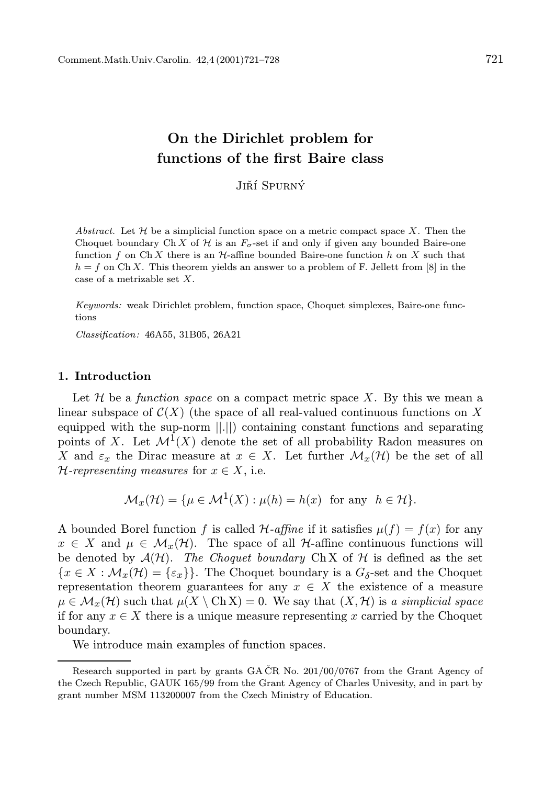# On the Dirichlet problem for functions of the first Baire class

Jiří Spurný

Abstract. Let  $\mathcal H$  be a simplicial function space on a metric compact space X. Then the Choquet boundary Ch X of  $\mathcal H$  is an  $F_{\sigma}$ -set if and only if given any bounded Baire-one function f on Ch X there is an  $H$ -affine bounded Baire-one function h on X such that  $h = f$  on Ch X. This theorem yields an answer to a problem of F. Jellett from [8] in the case of a metrizable set X.

Keywords: weak Dirichlet problem, function space, Choquet simplexes, Baire-one functions

Classification: 46A55, 31B05, 26A21

### 1. Introduction

Let  $\mathcal H$  be a function space on a compact metric space X. By this we mean a linear subspace of  $\mathcal{C}(X)$  (the space of all real-valued continuous functions on X equipped with the sup-norm ||.||) containing constant functions and separating points of X. Let  $\mathcal{M}^1(X)$  denote the set of all probability Radon measures on X and  $\varepsilon_x$  the Dirac measure at  $x \in X$ . Let further  $\mathcal{M}_x(\mathcal{H})$  be the set of all  $\mathcal{H}\text{-}representing measures for } x \in X$ , i.e.

$$
\mathcal{M}_x(\mathcal{H}) = \{ \mu \in \mathcal{M}^1(X) : \mu(h) = h(x) \text{ for any } h \in \mathcal{H} \}.
$$

A bounded Borel function f is called  $\mathcal{H}\text{-}affine$  if it satisfies  $\mu(f) = f(x)$  for any  $x \in X$  and  $\mu \in \mathcal{M}_x(\mathcal{H})$ . The space of all H-affine continuous functions will be denoted by  $A(\mathcal{H})$ . The Choquet boundary Ch X of  $\mathcal H$  is defined as the set  ${x \in X : \mathcal{M}_x(\mathcal{H}) = {\varepsilon_x}}$ . The Choquet boundary is a  $G_\delta$ -set and the Choquet representation theorem guarantees for any  $x \in X$  the existence of a measure  $\mu \in \mathcal{M}_{x}(\mathcal{H})$  such that  $\mu(X \setminus \text{Ch } X) = 0$ . We say that  $(X, \mathcal{H})$  is a simplicial space if for any  $x \in X$  there is a unique measure representing x carried by the Choquet boundary.

We introduce main examples of function spaces.

Research supported in part by grants GA  $CR$  No. 201/00/0767 from the Grant Agency of the Czech Republic, GAUK 165/99 from the Grant Agency of Charles Univesity, and in part by grant number MSM 113200007 from the Czech Ministry of Education.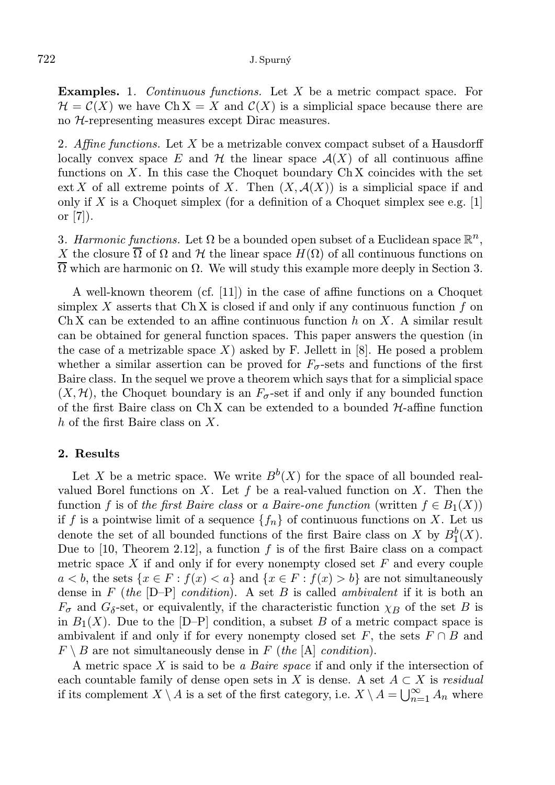Examples. 1. Continuous functions. Let X be a metric compact space. For  $\mathcal{H} = \mathcal{C}(X)$  we have Ch X = X and  $\mathcal{C}(X)$  is a simplicial space because there are no H-representing measures except Dirac measures.

2. Affine functions. Let X be a metrizable convex compact subset of a Hausdorff locally convex space E and H the linear space  $\mathcal{A}(X)$  of all continuous affine functions on  $X$ . In this case the Choquet boundary Ch X coincides with the set ext X of all extreme points of X. Then  $(X, \mathcal{A}(X))$  is a simplicial space if and only if  $X$  is a Choquet simplex (for a definition of a Choquet simplex see e.g. [1] or  $[7]$ ).

3. Harmonic functions. Let  $\Omega$  be a bounded open subset of a Euclidean space  $\mathbb{R}^n$ , X the closure  $\overline{\Omega}$  of  $\Omega$  and H the linear space  $H(\Omega)$  of all continuous functions on  $Ω$  which are harmonic on  $Ω$ . We will study this example more deeply in Section 3.

A well-known theorem (cf. [11]) in the case of affine functions on a Choquet simplex  $X$  asserts that Ch X is closed if and only if any continuous function  $f$  on Ch X can be extended to an affine continuous function  $h$  on X. A similar result can be obtained for general function spaces. This paper answers the question (in the case of a metrizable space X) asked by F. Jellett in  $[8]$ . He posed a problem whether a similar assertion can be proved for  $F_{\sigma}$ -sets and functions of the first Baire class. In the sequel we prove a theorem which says that for a simplicial space  $(X, \mathcal{H})$ , the Choquet boundary is an  $F_{\sigma}$ -set if and only if any bounded function of the first Baire class on  $Ch X$  can be extended to a bounded  $H$ -affine function h of the first Baire class on X.

#### 2. Results

Let X be a metric space. We write  $B^b(X)$  for the space of all bounded realvalued Borel functions on X. Let f be a real-valued function on X. Then the function f is of the first Baire class or a Baire-one function (written  $f \in B_1(X)$ ) if f is a pointwise limit of a sequence  $\{f_n\}$  of continuous functions on X. Let us denote the set of all bounded functions of the first Baire class on X by  $B_1^b(X)$ . Due to  $[10,$  Theorem 2.12, a function f is of the first Baire class on a compact metric space  $X$  if and only if for every nonempty closed set  $F$  and every couple  $a < b$ , the sets  $\{x \in F : f(x) < a\}$  and  $\{x \in F : f(x) > b\}$  are not simultaneously dense in  $F$  (the  $[D-P]$  condition). A set  $B$  is called ambivalent if it is both an  $F_{\sigma}$  and  $G_{\delta}$ -set, or equivalently, if the characteristic function  $\chi_B$  of the set B is in  $B_1(X)$ . Due to the  $[D-P]$  condition, a subset B of a metric compact space is ambivalent if and only if for every nonempty closed set F, the sets  $F \cap B$  and  $F \setminus B$  are not simultaneously dense in F (the [A] condition).

A metric space  $X$  is said to be a *Baire space* if and only if the intersection of each countable family of dense open sets in X is dense. A set  $A \subset X$  is residual if its complement  $X \setminus A$  is a set of the first category, i.e.  $X \setminus A = \bigcup_{n=1}^{\infty} A_n$  where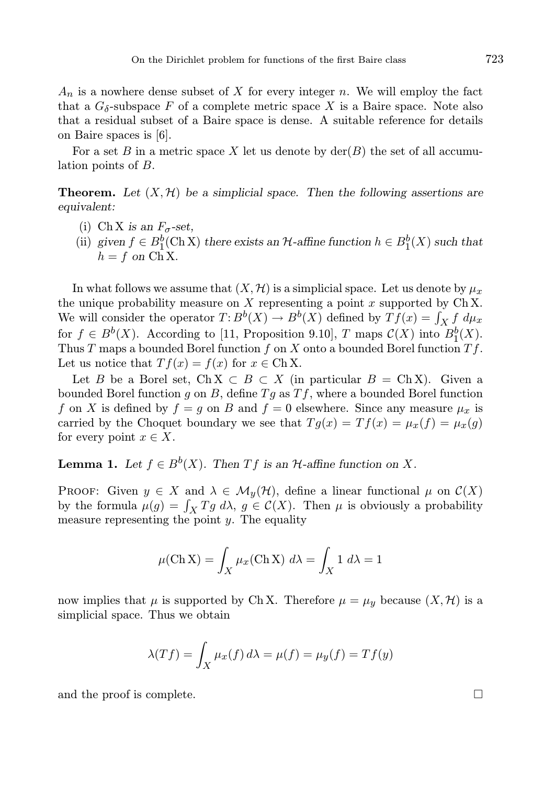$A_n$  is a nowhere dense subset of X for every integer n. We will employ the fact that a  $G_{\delta}$ -subspace F of a complete metric space X is a Baire space. Note also that a residual subset of a Baire space is dense. A suitable reference for details on Baire spaces is [6].

For a set B in a metric space X let us denote by  $\text{der}(B)$  the set of all accumulation points of B.

**Theorem.** Let  $(X, \mathcal{H})$  be a simplicial space. Then the following assertions are equivalent:

- (i) Ch X is an  $F_{\sigma}$ -set,
- (ii) given  $f \in B_1^b(\mathbb{C} \mathbf{h} \mathbf{X})$  there exists an  $\mathcal{H}$ -affine function  $h \in B_1^b(X)$  such that  $h = f$  on  $\overrightarrow{Ch} X$ .

In what follows we assume that  $(X, \mathcal{H})$  is a simplicial space. Let us denote by  $\mu_x$ the unique probability measure on  $X$  representing a point  $x$  supported by  $Ch X$ . We will consider the operator  $T: B^b(X) \to B^b(X)$  defined by  $Tf(x) = \int_X f \ d\mu_x$ We will consider the operator  $T: D^{\infty}(X) \to D^{\infty}(X)$  defined by  $T f(x) = \int_X f u \mu_x$ <br>for  $f \in B^b(X)$ . According to [11, Proposition 9.10], T maps  $C(X)$  into  $B_1^b(X)$ . Thus T maps a bounded Borel function f on X onto a bounded Borel function  $Tf$ . Let us notice that  $T f(x) = f(x)$  for  $x \in Ch X$ .

Let B be a Borel set, Ch  $X \subset B \subset X$  (in particular  $B = Ch X$ ). Given a bounded Borel function g on B, define  $Tg$  as  $Tf$ , where a bounded Borel function f on X is defined by  $f = g$  on B and  $f = 0$  elsewhere. Since any measure  $\mu_x$  is carried by the Choquet boundary we see that  $Tg(x) = Tf(x) = \mu_x(f) = \mu_x(g)$ for every point  $x \in X$ .

## **Lemma 1.** Let  $f \in B^b(X)$ . Then  $Tf$  is an  $H$ -affine function on X.

PROOF: Given  $y \in X$  and  $\lambda \in \mathcal{M}_y(\mathcal{H})$ , define a linear functional  $\mu$  on  $\mathcal{C}(X)$ by the formula  $\mu(g) = \int_X Tg \ d\lambda$ ,  $g \in \mathcal{C}(X)$ . Then  $\mu$  is obviously a probability measure representing the point  $y$ . The equality

$$
\mu(\text{Ch X}) = \int_X \mu_x(\text{Ch X}) \ d\lambda = \int_X 1 \ d\lambda = 1
$$

now implies that  $\mu$  is supported by Ch X. Therefore  $\mu = \mu_y$  because  $(X, \mathcal{H})$  is a simplicial space. Thus we obtain

$$
\lambda(Tf) = \int_X \mu_x(f) \, d\lambda = \mu(f) = \mu_y(f) = Tf(y)
$$

and the proof is complete.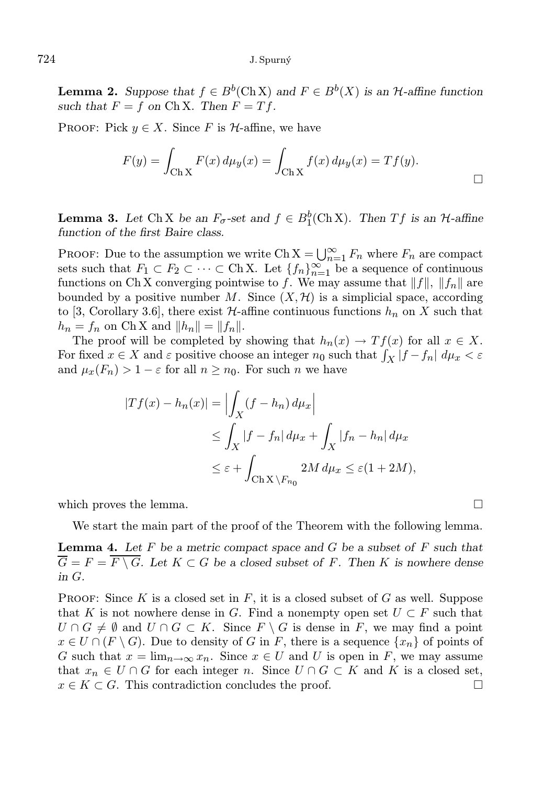**Lemma 2.** Suppose that  $f \in B^b(\mathbb{C} \cap \mathbb{X})$  and  $F \in B^b(X)$  is an H-affine function such that  $F = f$  on Ch X. Then  $F = Tf$ .

PROOF: Pick  $y \in X$ . Since F is H-affine, we have

$$
F(y) = \int_{\text{Ch } X} F(x) \, d\mu_y(x) = \int_{\text{Ch } X} f(x) \, d\mu_y(x) = Tf(y).
$$

**Lemma 3.** Let Ch X be an  $F_{\sigma}$ -set and  $f \in B_1^b(\text{Ch } X)$ . Then T f is an  $\mathcal{H}$ -affine function of the first Baire class.

PROOF: Due to the assumption we write Ch  $X = \bigcup_{n=1}^{\infty} F_n$  where  $F_n$  are compact sets such that  $F_1 \subset F_2 \subset \cdots \subset \text{Ch } X$ . Let  $\{f_n\}_{n=1}^{\infty}$  be a sequence of continuous functions on Ch X converging pointwise to f. We may assume that  $||f||$ ,  $||f_n||$  are bounded by a positive number  $M$ . Since  $(X, \mathcal{H})$  is a simplicial space, according to [3, Corollary 3.6], there exist  $\mathcal{H}\text{-affine continuous functions }h_n$  on X such that  $h_n = f_n$  on Ch X and  $||h_n|| = ||f_n||$ .

The proof will be completed by showing that  $h_n(x) \to Tf(x)$  for all  $x \in X$ . For fixed  $x \in X$  and  $\varepsilon$  positive choose an integer  $n_0$  such that  $\int_X |f - f_n| \, d\mu_x < \varepsilon$ and  $\mu_x(F_n) > 1 - \varepsilon$  for all  $n \geq n_0$ . For such n we have

$$
|Tf(x) - h_n(x)| = \left| \int_X (f - h_n) d\mu_x \right|
$$
  
\n
$$
\leq \int_X |f - f_n| d\mu_x + \int_X |f_n - h_n| d\mu_x
$$
  
\n
$$
\leq \varepsilon + \int_{\text{Ch } X \setminus F_{n_0}} 2M d\mu_x \leq \varepsilon (1 + 2M),
$$

which proves the lemma.  $\Box$ 

We start the main part of the proof of the Theorem with the following lemma.

**Lemma 4.** Let F be a metric compact space and G be a subset of F such that  $\overline{G} = F = \overline{F \setminus G}$ . Let  $K \subset G$  be a closed subset of F. Then K is nowhere dense in G.

**PROOF:** Since K is a closed set in  $F$ , it is a closed subset of G as well. Suppose that K is not nowhere dense in G. Find a nonempty open set  $U \subset F$  such that  $U \cap G \neq \emptyset$  and  $U \cap G \subset K$ . Since  $F \setminus G$  is dense in F, we may find a point  $x \in U \cap (F \setminus G)$ . Due to density of G in F, there is a sequence  $\{x_n\}$  of points of G such that  $x = \lim_{n \to \infty} x_n$ . Since  $x \in U$  and U is open in F, we may assume that  $x_n \in U \cap G$  for each integer n. Since  $U \cap G \subset K$  and K is a closed set,  $x \in K \subset G$ . This contradiction concludes the proof.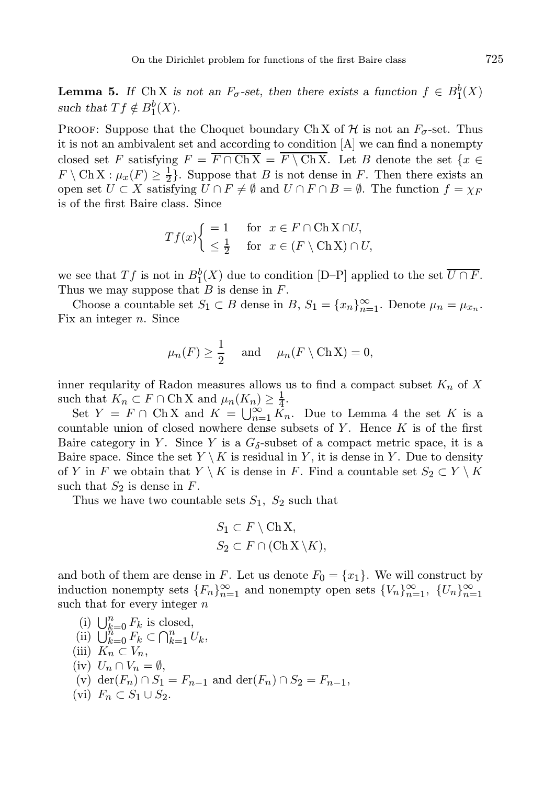**Lemma 5.** If Ch X is not an  $F_{\sigma}$ -set, then there exists a function  $f \in B_1^b(X)$ such that  $Tf \notin B_1^b(X)$ .

PROOF: Suppose that the Choquet boundary Ch X of  $H$  is not an  $F_{\sigma}$ -set. Thus it is not an ambivalent set and according to condition [A] we can find a nonempty closed set F satisfying  $F = \overline{F \cap ChX} = \overline{F \setminus ChX}$ . Let B denote the set  $\{x \in$  $F \setminus \text{Ch } X : \mu_x(F) \ge \frac{1}{2}$ . Suppose that B is not dense in F. Then there exists an open set  $U \subset X$  satisfying  $U \cap F \neq \emptyset$  and  $U \cap F \cap B = \emptyset$ . The function  $f = \chi_F$ is of the first Baire class. Since

$$
Tf(x)
$$
 $\begin{cases} =1 \quad \text{for } x \in F \cap \text{ChX} \cap U, \\ \leq \frac{1}{2} \quad \text{for } x \in (F \setminus \text{ChX}) \cap U, \end{cases}$ 

we see that Tf is not in  $B_1^b(X)$  due to condition [D–P] applied to the set  $\overline{U \cap F}$ . Thus we may suppose that  $B$  is dense in  $F$ .

Choose a countable set  $S_1 \subset B$  dense in  $B$ ,  $S_1 = \{x_n\}_{n=1}^{\infty}$ . Denote  $\mu_n = \mu_{x_n}$ . Fix an integer  $n$ . Since

$$
\mu_n(F) \ge \frac{1}{2}
$$
 and  $\mu_n(F \setminus \text{Ch } X) = 0$ ,

inner reqularity of Radon measures allows us to find a compact subset  $K_n$  of X such that  $K_n \subset F \cap \text{Ch } X$  and  $\mu_n(K_n) \geq \frac{1}{4}$ .

Set  $Y = F \cap ChX$  and  $K = \bigcup_{n=1}^{\infty} K_n$ . Due to Lemma 4 the set K is a countable union of closed nowhere dense subsets of  $Y$ . Hence  $K$  is of the first Baire category in Y. Since Y is a  $G_{\delta}$ -subset of a compact metric space, it is a Baire space. Since the set  $Y \setminus K$  is residual in Y, it is dense in Y. Due to density of Y in F we obtain that  $Y \setminus K$  is dense in F. Find a countable set  $S_2 \subset Y \setminus K$ such that  $S_2$  is dense in F.

Thus we have two countable sets  $S_1$ ,  $S_2$  such that

$$
S_1 \subset F \setminus Ch X,
$$
  

$$
S_2 \subset F \cap (Ch X \setminus K),
$$

and both of them are dense in F. Let us denote  $F_0 = \{x_1\}$ . We will construct by induction nonempty sets  ${F_n}_{n=1}^{\infty}$  and nonempty open sets  ${V_n}_{n=1}^{\infty}$ ,  ${U_n}_{n=1}^{\infty}$ such that for every integer  $n$ 

(i)  $\bigcup_{k=0}^{n} F_k$  is closed, (ii)  $\bigcup_{k=0}^{n} F_k \subset \bigcap_{k=1}^{n} U_k$ , (iii)  $K_n \subset V_n$ , (iv)  $U_n \cap V_n = \emptyset$ , (v) der( $F_n$ ) ∩  $S_1 = F_{n-1}$  and der( $F_n$ ) ∩  $S_2 = F_{n-1}$ , (vi)  $F_n \subset S_1 \cup S_2$ .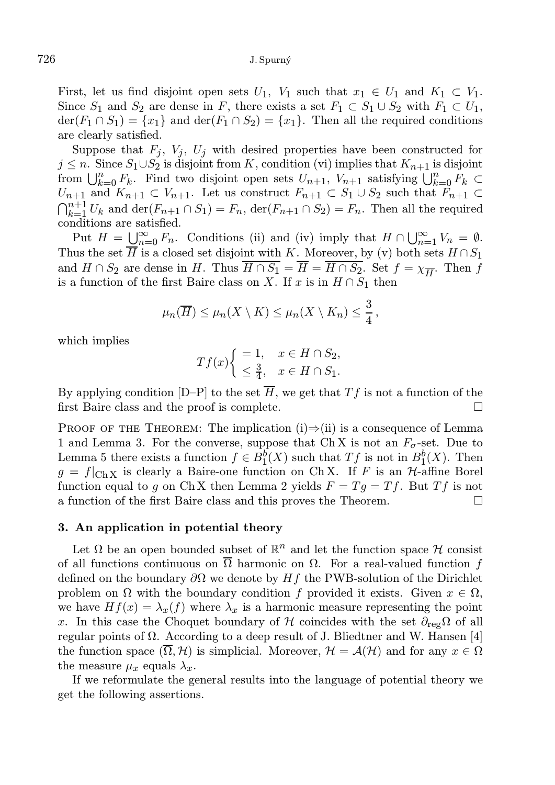First, let us find disjoint open sets  $U_1$ ,  $V_1$  such that  $x_1 \in U_1$  and  $K_1 \subset V_1$ . Since  $S_1$  and  $S_2$  are dense in F, there exists a set  $F_1 \subset S_1 \cup S_2$  with  $F_1 \subset U_1$ ,  $\text{der}(F_1 \cap S_1) = \{x_1\}$  and  $\text{der}(F_1 \cap S_2) = \{x_1\}$ . Then all the required conditions are clearly satisfied.

Suppose that  $F_j$ ,  $V_j$ ,  $U_j$  with desired properties have been constructed for  $j \leq n$ . Since  $S_1 \cup S_2$  is disjoint from K, condition (vi) implies that  $K_{n+1}$  is disjoint from  $\bigcup_{k=0}^{n} F_k$ . Find two disjoint open sets  $U_{n+1}$ ,  $V_{n+1}$  satisfying  $\bigcup_{k=0}^{n} F_k$  $U_{n+1}$  and  $K_{n+1} \subset V_{n+1}$ . Let us construct  $F_{n+1} \subset S_1 \cup S_2$  such that  $F_{n+1} \subset$  $\bigcap_{k=1}^{n+1} U_k$  and  $\text{der}(F_{n+1} \cap S_1) = F_n$ ,  $\text{der}(F_{n+1} \cap S_2) = F_n$ . Then all the required conditions are satisfied.

Put  $H = \bigcup_{n=0}^{\infty} F_n$ . Conditions (ii) and (iv) imply that  $H \cap \bigcup_{n=1}^{\infty} V_n = \emptyset$ . Thus the set  $\overline{H}$  is a closed set disjoint with K. Moreover, by (v) both sets  $H \cap S_1$ and  $H \cap S_2$  are dense in H. Thus  $H \cap S_1 = H = H \cap S_2$ . Set  $f = \chi_{\overline{H}}$ . Then f is a function of the first Baire class on X. If x is in  $H \cap S_1$  then

$$
\mu_n(\overline{H}) \leq \mu_n(X \setminus K) \leq \mu_n(X \setminus K_n) \leq \frac{3}{4},
$$

which implies

$$
Tf(x)\begin{cases} =1, & x \in H \cap S_2, \\ \leq \frac{3}{4}, & x \in H \cap S_1. \end{cases}
$$

By applying condition  $[D-P]$  to the set  $\overline{H}$ , we get that  $Tf$  is not a function of the first Baire class and the proof is complete.

PROOF OF THE THEOREM: The implication (i)⇒(ii) is a consequence of Lemma 1 and Lemma 3. For the converse, suppose that Ch X is not an  $F_{\sigma}$ -set. Due to Lemma 5 there exists a function  $f \in B_1^b(X)$  such that  $Tf$  is not in  $B_1^b(X)$ . Then  $g = f|_{\text{Ch }X}$  is clearly a Baire-one function on Ch X. If F is an H-affine Borel function equal to g on Ch X then Lemma 2 yields  $F = Tg = Tf$ . But  $Tf$  is not a function of the first Baire class and this proves the Theorem.

#### 3. An application in potential theory

Let  $\Omega$  be an open bounded subset of  $\mathbb{R}^n$  and let the function space  $\mathcal H$  consist of all functions continuous on  $\Omega$  harmonic on  $\Omega$ . For a real-valued function f defined on the boundary  $\partial\Omega$  we denote by Hf the PWB-solution of the Dirichlet problem on  $\Omega$  with the boundary condition f provided it exists. Given  $x \in \Omega$ , we have  $Hf(x) = \lambda_x(f)$  where  $\lambda_x$  is a harmonic measure representing the point x. In this case the Choquet boundary of H coincides with the set  $\partial_{reg}\Omega$  of all regular points of Ω. According to a deep result of J. Bliedtner and W. Hansen [4] the function space  $(\overline{\Omega}, \mathcal{H})$  is simplicial. Moreover,  $\mathcal{H} = \mathcal{A}(\mathcal{H})$  and for any  $x \in \Omega$ the measure  $\mu_x$  equals  $\lambda_x$ .

If we reformulate the general results into the language of potential theory we get the following assertions.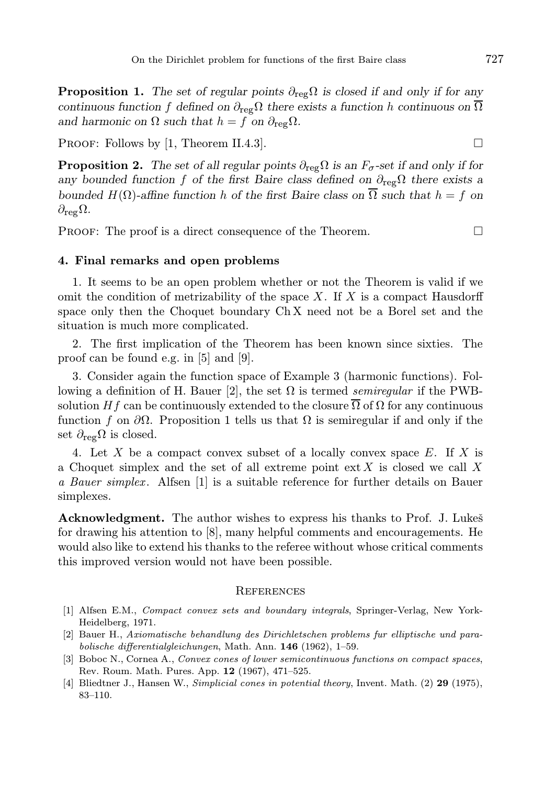**Proposition 1.** The set of regular points  $\partial_{reg}\Omega$  is closed if and only if for any continuous function f defined on  $\partial_{\text{reg}}\Omega$  there exists a function h continuous on  $\overline{\Omega}$ and harmonic on  $\Omega$  such that  $h = f$  on  $\partial_{\text{reg}}\Omega$ .

PROOF: Follows by [1, Theorem II.4.3].

**Proposition 2.** The set of all regular points  $\partial_{\text{reg}}\Omega$  is an  $F_{\sigma}$ -set if and only if for any bounded function f of the first Baire class defined on  $\partial_{\text{re}}\Omega$  there exists a bounded  $H(\Omega)$ -affine function h of the first Baire class on  $\overline{\Omega}$  such that  $h = f$  on  $\partial_{\text{reg}}\Omega$ .

PROOF: The proof is a direct consequence of the Theorem.

#### 4. Final remarks and open problems

1. It seems to be an open problem whether or not the Theorem is valid if we omit the condition of metrizability of the space  $X$ . If  $X$  is a compact Hausdorff space only then the Choquet boundary Ch X need not be a Borel set and the situation is much more complicated.

2. The first implication of the Theorem has been known since sixties. The proof can be found e.g. in [5] and [9].

3. Consider again the function space of Example 3 (harmonic functions). Following a definition of H. Bauer [2], the set  $\Omega$  is termed *semiregular* if the PWBsolution H f can be continuously extended to the closure  $\Omega$  of  $\Omega$  for any continuous function f on  $\partial\Omega$ . Proposition 1 tells us that  $\Omega$  is semiregular if and only if the set  $\partial_{reg}\Omega$  is closed.

4. Let X be a compact convex subset of a locally convex space  $E$ . If X is a Choquet simplex and the set of all extreme point  $ext X$  is closed we call X a Bauer simplex. Alfsen [1] is a suitable reference for further details on Bauer simplexes.

Acknowledgment. The author wishes to express his thanks to Prof. J. Lukes for drawing his attention to [8], many helpful comments and encouragements. He would also like to extend his thanks to the referee without whose critical comments this improved version would not have been possible.

#### **REFERENCES**

- [1] Alfsen E.M., Compact convex sets and boundary integrals, Springer-Verlag, New York-Heidelberg, 1971.
- [2] Bauer H., Axiomatische behandlung des Dirichletschen problems fur elliptische und parabolische differentialgleichungen, Math. Ann. 146 (1962), 1–59.
- [3] Boboc N., Cornea A., Convex cones of lower semicontinuous functions on compact spaces, Rev. Roum. Math. Pures. App. 12 (1967), 471–525.
- [4] Bliedtner J., Hansen W., Simplicial cones in potential theory, Invent. Math. (2) 29 (1975), 83–110.